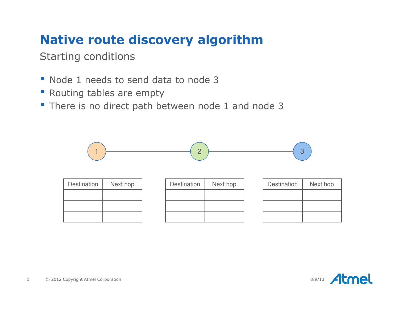Starting conditions

- Node 1 needs to send data to node 3
- Routing tables are empty
- There is no direct path between node 1 and node 3

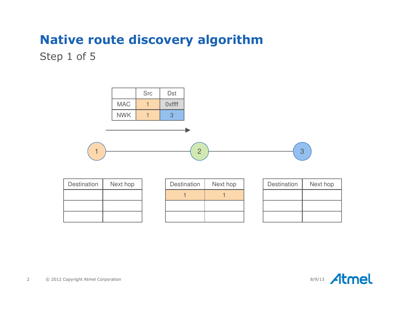Step 1 of 5

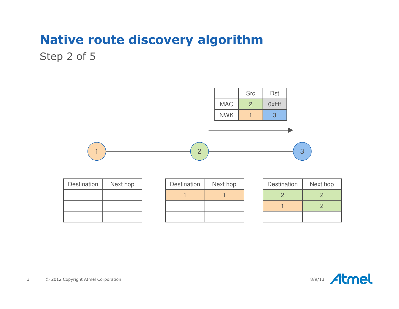Step 2 of 5



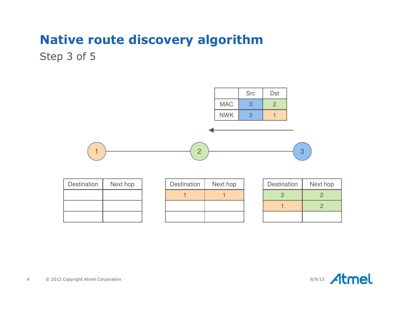Step 3 of 5

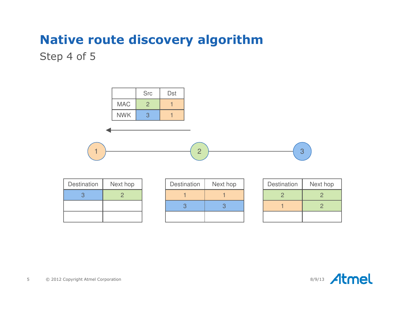Step 4 of 5

|                    |                | <b>Src</b>     | Dst         |                |                |                |
|--------------------|----------------|----------------|-------------|----------------|----------------|----------------|
|                    | <b>MAC</b>     | $\overline{2}$ |             |                |                |                |
|                    | <b>NWK</b>     | 3              |             |                |                |                |
|                    |                |                |             |                |                |                |
|                    |                |                |             | $\overline{2}$ | 3              |                |
| <b>Destination</b> | Next hop       |                | Destination | Next hop       | Destination    | Next ho        |
| 3                  | $\overline{2}$ |                |             | 1              | $\overline{2}$ | 2              |
|                    |                |                | 3           | 3              |                | $\overline{2}$ |

| Destination | Next hop |  |  |
|-------------|----------|--|--|
|             |          |  |  |
|             |          |  |  |
|             |          |  |  |

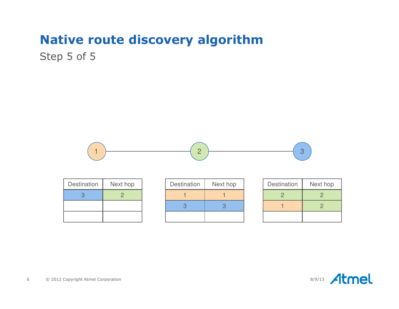Step 5 of 5



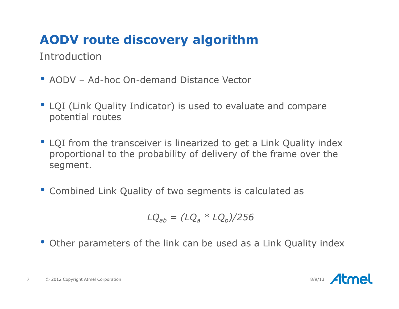Introduction

- AODV Ad-hoc On-demand Distance Vector
- LQI (Link Quality Indicator) is used to evaluate and compare potential routes
- LQI from the transceiver is linearized to get a Link Quality index proportional to the probability of delivery of the frame over the segment.
- Combined Link Quality of two segments is calculated as

$$
LQ_{ab} = (LQ_a * LQ_b)/256
$$

• Other parameters of the link can be used as a Link Quality index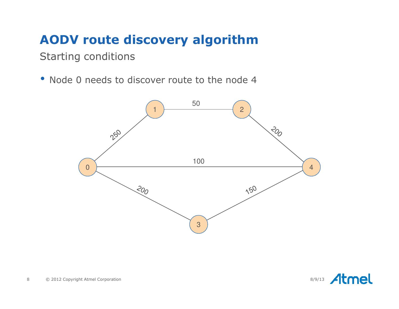Starting conditions

• Node 0 needs to discover route to the node 4



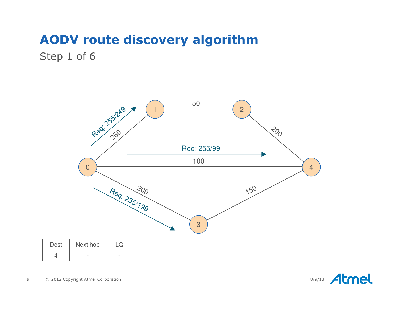Step 1 of 6



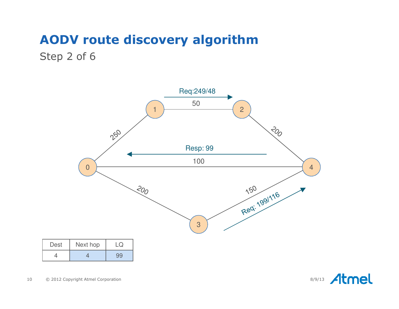#### Step 2 of 6



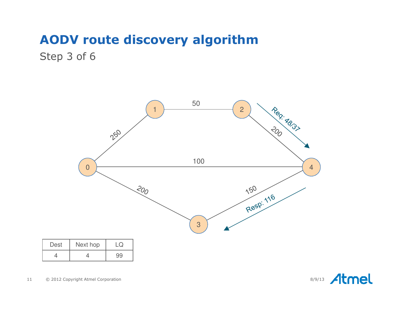#### Step 3 of 6



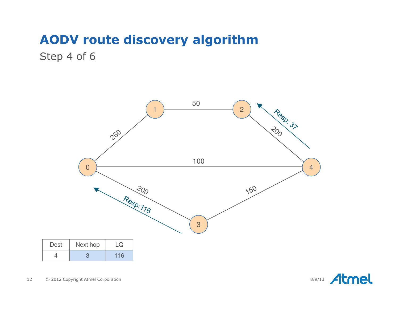Step 4 of 6



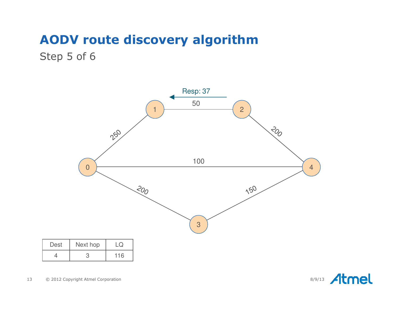#### Step 5 of 6



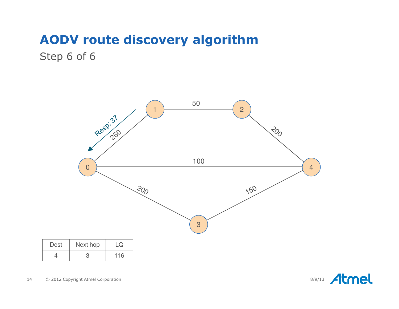Step 6 of 6



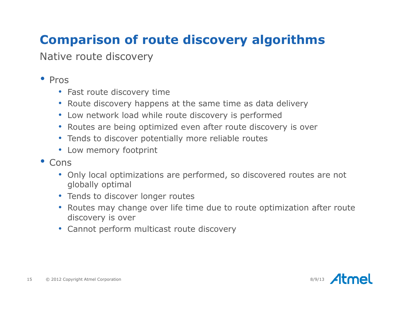# **Comparison of route discovery algorithms**

Native route discovery

## • Pros

- Fast route discovery time
- Route discovery happens at the same time as data delivery
- Low network load while route discovery is performed
- Routes are being optimized even after route discovery is over
- Tends to discover potentially more reliable routes
- Low memory footprint
- Cons
	- Only local optimizations are performed, so discovered routes are not globally optimal
	- Tends to discover longer routes
	- Routes may change over life time due to route optimization after route discovery is over
	- Cannot perform multicast route discovery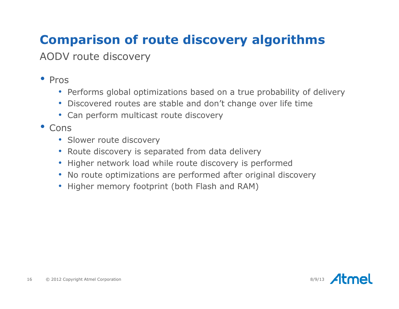# **Comparison of route discovery algorithms**

AODV route discovery

## • Pros

- Performs global optimizations based on a true probability of delivery
- Discovered routes are stable and don't change over life time
- Can perform multicast route discovery
- Cons
	- Slower route discovery
	- Route discovery is separated from data delivery
	- Higher network load while route discovery is performed
	- No route optimizations are performed after original discovery
	- Higher memory footprint (both Flash and RAM)